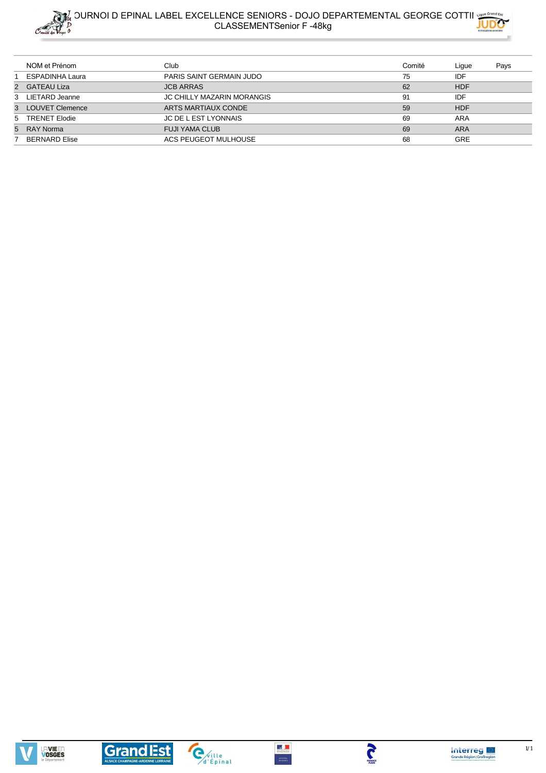



| NOM et Prénom     | Club                              | Comité | Lique      | Pays |
|-------------------|-----------------------------------|--------|------------|------|
| ESPADINHA Laura   | PARIS SAINT GERMAIN JUDO          | 75     | IDF        |      |
| 2 GATEAU Liza     | <b>JCB ARRAS</b>                  | 62     | <b>HDF</b> |      |
| 3 LIETARD Jeanne  | <b>JC CHILLY MAZARIN MORANGIS</b> | 91     | IDF        |      |
| 3 LOUVET Clemence | ARTS MARTIAUX CONDE               | 59     | <b>HDF</b> |      |
| 5 TRENET Elodie   | <b>JC DE L EST LYONNAIS</b>       | 69     | ARA        |      |
| 5 RAY Norma       | <b>FUJI YAMA CLUB</b>             | 69     | <b>ARA</b> |      |
| BERNARD Elise     | ACS PEUGEOT MULHOUSE              | 68     | <b>GRE</b> |      |







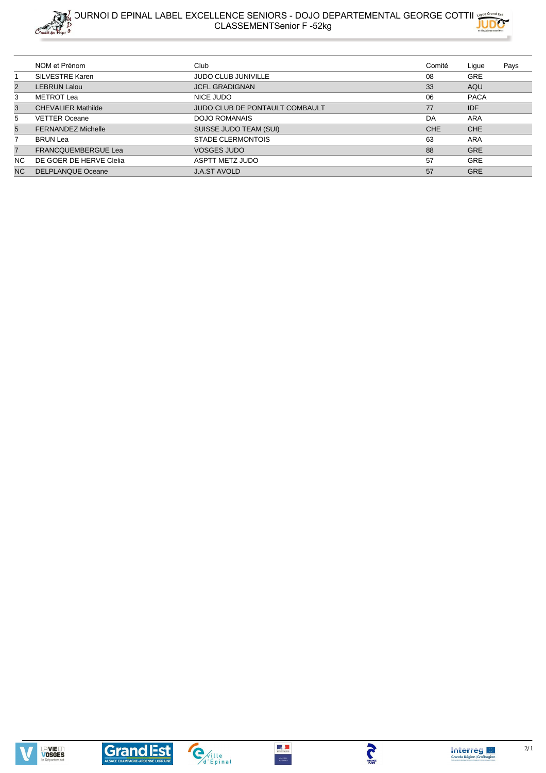



|                | NOM et Prénom              | Club                           | Comité     | Lique       | Pays |
|----------------|----------------------------|--------------------------------|------------|-------------|------|
|                | <b>SILVESTRE Karen</b>     | <b>JUDO CLUB JUNIVILLE</b>     | 08         | <b>GRE</b>  |      |
| 2              | <b>LEBRUN Lalou</b>        | <b>JCFL GRADIGNAN</b>          | 33         | AQU         |      |
| 3              | METROT Lea                 | NICE JUDO                      | 06         | <b>PACA</b> |      |
| 3              | <b>CHEVALIER Mathilde</b>  | JUDO CLUB DE PONTAULT COMBAULT | 77         | <b>IDF</b>  |      |
| 5              | <b>VETTER Oceane</b>       | <b>DOJO ROMANAIS</b>           | DA         | ARA         |      |
| 5              | <b>FERNANDEZ Michelle</b>  | SUISSE JUDO TEAM (SUI)         | <b>CHE</b> | <b>CHE</b>  |      |
| $\overline{7}$ | <b>BRUN Lea</b>            | STADE CLERMONTOIS              | 63         | ARA         |      |
| $\overline{7}$ | <b>FRANCQUEMBERGUE Lea</b> | <b>VOSGES JUDO</b>             | 88         | <b>GRE</b>  |      |
| NC.            | DE GOER DE HERVE Clelia    | <b>ASPTT METZ JUDO</b>         | 57         | <b>GRE</b>  |      |
| <b>NC</b>      | <b>DELPLANQUE Oceane</b>   | <b>J.A.ST AVOLD</b>            | 57         | <b>GRE</b>  |      |







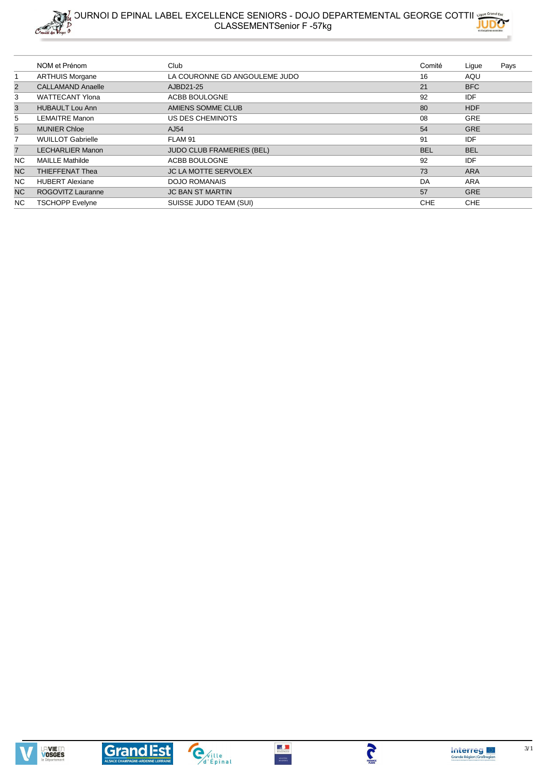



|                | NOM et Prénom            | Club                             | Comité     | Lique      | Pays |
|----------------|--------------------------|----------------------------------|------------|------------|------|
|                | <b>ARTHUIS Morgane</b>   | LA COURONNE GD ANGOULEME JUDO    | 16         | AQU        |      |
| $\overline{2}$ | <b>CALLAMAND Anaelle</b> | AJBD21-25                        | 21         | <b>BFC</b> |      |
| 3              | <b>WATTECANT Ylona</b>   | ACBB BOULOGNE                    | 92         | <b>IDF</b> |      |
| 3              | <b>HUBAULT Lou Ann</b>   | AMIENS SOMME CLUB                | 80         | <b>HDF</b> |      |
| 5              | <b>LEMAITRE Manon</b>    | US DES CHEMINOTS                 | 08         | <b>GRE</b> |      |
| 5              | <b>MUNIER Chloe</b>      | AJ54                             | 54         | <b>GRE</b> |      |
|                | <b>WUILLOT Gabrielle</b> | FLAM 91                          | 91         | <b>IDF</b> |      |
| $\overline{7}$ | <b>LECHARLIER Manon</b>  | <b>JUDO CLUB FRAMERIES (BEL)</b> | <b>BEL</b> | <b>BEL</b> |      |
| NC.            | <b>MAILLE Mathilde</b>   | ACBB BOULOGNE                    | 92         | <b>IDF</b> |      |
| <b>NC</b>      | <b>THIEFFENAT Thea</b>   | <b>JC LA MOTTE SERVOLEX</b>      | 73         | <b>ARA</b> |      |
| NC.            | <b>HUBERT Alexiane</b>   | <b>DOJO ROMANAIS</b>             | DA         | <b>ARA</b> |      |
| <b>NC</b>      | ROGOVITZ Lauranne        | <b>JC BAN ST MARTIN</b>          | 57         | <b>GRE</b> |      |
| NC.            | <b>TSCHOPP Evelyne</b>   | SUISSE JUDO TEAM (SUI)           | <b>CHE</b> | <b>CHE</b> |      |







 $MNSITAL  
DS KOMTS$ 



**TANGE**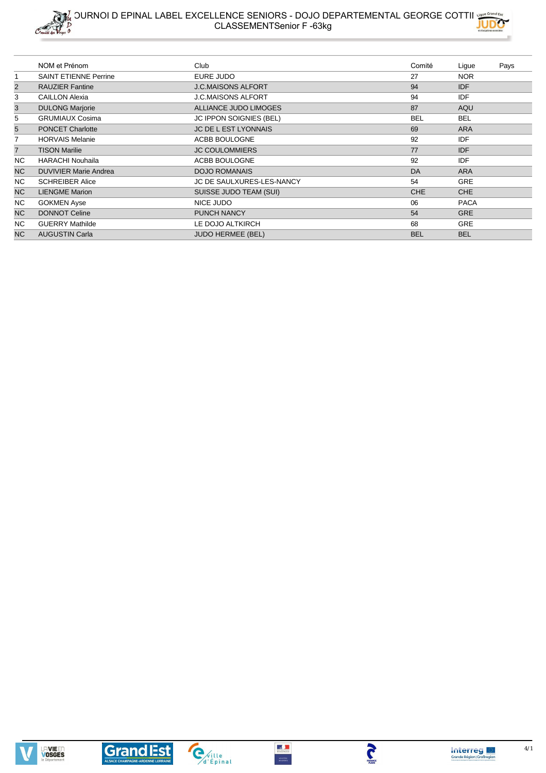



|                | NOM et Prénom                | Club                           | Comité     | Ligue       | Pays |
|----------------|------------------------------|--------------------------------|------------|-------------|------|
|                | <b>SAINT ETIENNE Perrine</b> | EURE JUDO                      | 27         | <b>NOR</b>  |      |
| $\overline{2}$ | <b>RAUZIER Fantine</b>       | <b>J.C.MAISONS ALFORT</b>      | 94         | <b>IDF</b>  |      |
| 3              | <b>CAILLON Alexia</b>        | <b>J.C.MAISONS ALFORT</b>      | 94         | <b>IDF</b>  |      |
| 3              | <b>DULONG Marjorie</b>       | ALLIANCE JUDO LIMOGES          | 87         | AQU         |      |
| 5              | <b>GRUMIAUX Cosima</b>       | <b>JC IPPON SOIGNIES (BEL)</b> | <b>BEL</b> | <b>BEL</b>  |      |
| 5              | <b>PONCET Charlotte</b>      | <b>JC DE L EST LYONNAIS</b>    | 69         | <b>ARA</b>  |      |
| $\overline{7}$ | <b>HORVAIS Melanie</b>       | ACBB BOULOGNE                  | 92         | <b>IDF</b>  |      |
| $\overline{7}$ | <b>TISON Marilie</b>         | <b>JC COULOMMIERS</b>          | 77         | <b>IDF</b>  |      |
| NC.            | <b>HARACHI Nouhaila</b>      | ACBB BOULOGNE                  | 92         | <b>IDF</b>  |      |
| <b>NC</b>      | <b>DUVIVIER Marie Andrea</b> | <b>DOJO ROMANAIS</b>           | DA         | <b>ARA</b>  |      |
| NC.            | <b>SCHREIBER Alice</b>       | JC DE SAULXURES-LES-NANCY      | 54         | <b>GRE</b>  |      |
| <b>NC</b>      | <b>LIENGME Marion</b>        | SUISSE JUDO TEAM (SUI)         | <b>CHE</b> | <b>CHE</b>  |      |
| NC.            | <b>GOKMEN Ayse</b>           | NICE JUDO                      | 06         | <b>PACA</b> |      |
| NC             | <b>DONNOT Celine</b>         | <b>PUNCH NANCY</b>             | 54         | <b>GRE</b>  |      |
| NC.            | <b>GUERRY Mathilde</b>       | LE DOJO ALTKIRCH               | 68         | <b>GRE</b>  |      |
| N <sub>C</sub> | <b>AUGUSTIN Carla</b>        | <b>JUDO HERMEE (BEL)</b>       | <b>BEL</b> | <b>BEL</b>  |      |









 $MNSITAL  
DS KOMTS$ 

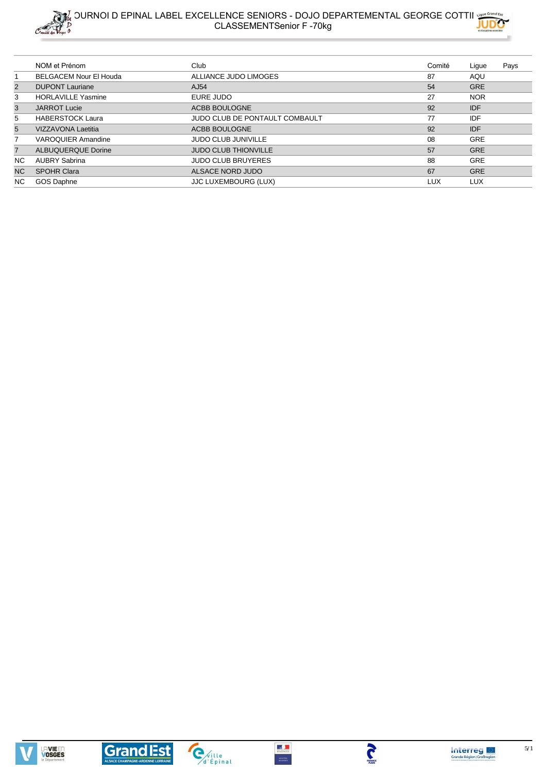



|                | NOM et Prénom                 | Club                           | Comité | Lique      | Pays |
|----------------|-------------------------------|--------------------------------|--------|------------|------|
|                | <b>BELGACEM Nour El Houda</b> | ALLIANCE JUDO LIMOGES          | 87     | AQU        |      |
| $\overline{2}$ | <b>DUPONT Lauriane</b>        | AJ54                           | 54     | <b>GRE</b> |      |
| 3              | <b>HORLAVILLE Yasmine</b>     | EURE JUDO                      | 27     | <b>NOR</b> |      |
| 3              | <b>JARROT Lucie</b>           | ACBB BOULOGNE                  | 92     | <b>IDF</b> |      |
| 5              | <b>HABERSTOCK Laura</b>       | JUDO CLUB DE PONTAULT COMBAULT | 77     | IDF        |      |
| 5              | <b>VIZZAVONA Laetitia</b>     | ACBB BOULOGNE                  | 92     | <b>IDF</b> |      |
|                | <b>VAROQUIER Amandine</b>     | <b>JUDO CLUB JUNIVILLE</b>     | 08     | <b>GRE</b> |      |
| $\overline{7}$ | <b>ALBUQUERQUE Dorine</b>     | <b>JUDO CLUB THIONVILLE</b>    | 57     | <b>GRE</b> |      |
| NC.            | <b>AUBRY Sabrina</b>          | <b>JUDO CLUB BRUYERES</b>      | 88     | <b>GRE</b> |      |
| NC.            | <b>SPOHR Clara</b>            | ALSACE NORD JUDO               | 67     | <b>GRE</b> |      |
| NC.            | GOS Daphne                    | <b>JJC LUXEMBOURG (LUX)</b>    | LUX    | <b>LUX</b> |      |









 $MNSITAL  
DS KOMTS$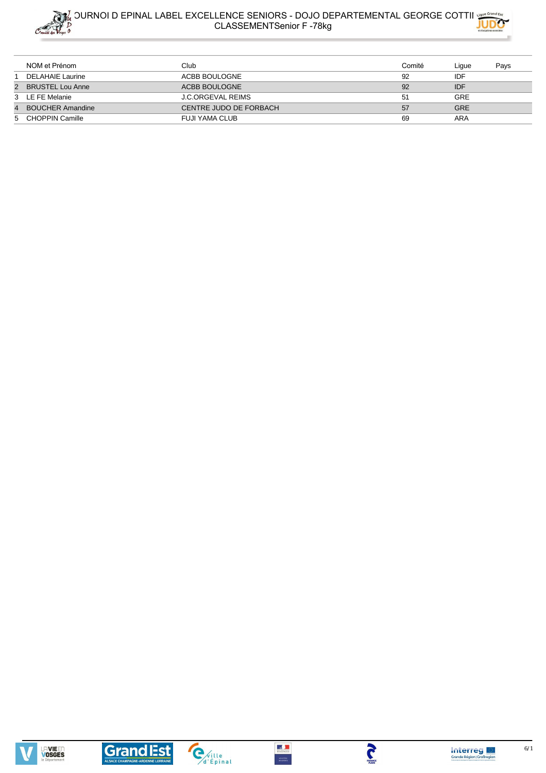



|                | NOM et Prénom           | Club                     | Comité | Ligue      | Pays |
|----------------|-------------------------|--------------------------|--------|------------|------|
|                | DELAHAIE Laurine        | ACBB BOULOGNE            | 92     | IDF        |      |
|                | 2 BRUSTEL Lou Anne      | ACBB BOULOGNE            | 92     | <b>IDF</b> |      |
|                | 3 LE FE Melanie         | <b>J.C.ORGEVAL REIMS</b> | 51     | GRE        |      |
| $\overline{4}$ | <b>BOUCHER Amandine</b> | CENTRE JUDO DE FORBACH   | 57     | <b>GRE</b> |      |
|                | 5 CHOPPIN Camille       | FUJI YAMA CLUB           | 69     | ARA        |      |







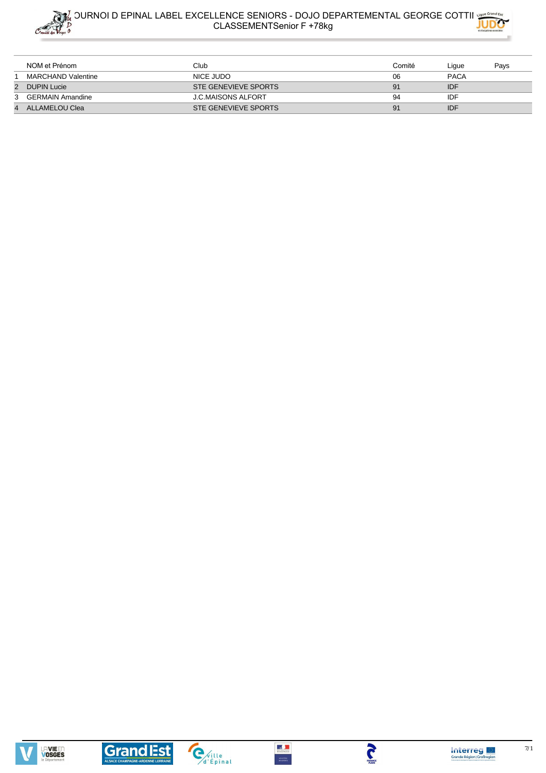









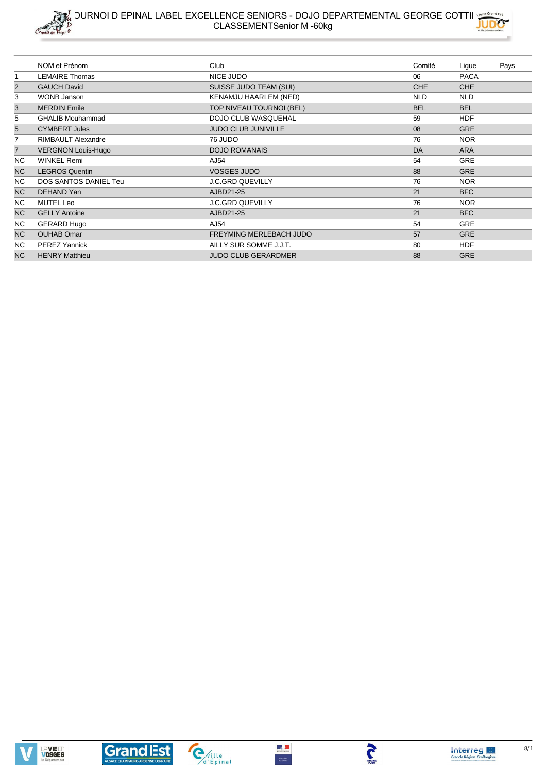



|                | NOM et Prénom             | Club                       | Comité     | Ligue       | Pays |
|----------------|---------------------------|----------------------------|------------|-------------|------|
|                | <b>LEMAIRE Thomas</b>     | NICE JUDO                  | 06         | <b>PACA</b> |      |
| $\overline{c}$ | <b>GAUCH David</b>        | SUISSE JUDO TEAM (SUI)     | CHE        | <b>CHE</b>  |      |
| 3              | <b>WONB Janson</b>        | KENAMJU HAARLEM (NED)      | <b>NLD</b> | <b>NLD</b>  |      |
| $\mathsf 3$    | <b>MERDIN Emile</b>       | TOP NIVEAU TOURNOI (BEL)   | <b>BEL</b> | <b>BEL</b>  |      |
| 5              | <b>GHALIB Mouhammad</b>   | <b>DOJO CLUB WASQUEHAL</b> | 59         | <b>HDF</b>  |      |
| 5              | <b>CYMBERT Jules</b>      | <b>JUDO CLUB JUNIVILLE</b> | 08         | <b>GRE</b>  |      |
| 7              | <b>RIMBAULT Alexandre</b> | 76 JUDO                    | 76         | <b>NOR</b>  |      |
| $\overline{7}$ | <b>VERGNON Louis-Hugo</b> | <b>DOJO ROMANAIS</b>       | DA         | <b>ARA</b>  |      |
| NC.            | <b>WINKEL Remi</b>        | AJ54                       | 54         | GRE         |      |
| <b>NC</b>      | <b>LEGROS Quentin</b>     | <b>VOSGES JUDO</b>         | 88         | <b>GRE</b>  |      |
| NC.            | DOS SANTOS DANIEL Teu     | <b>J.C.GRD QUEVILLY</b>    | 76         | <b>NOR</b>  |      |
| <b>NC</b>      | DEHAND Yan                | AJBD21-25                  | 21         | <b>BFC</b>  |      |
| NC.            | <b>MUTEL Leo</b>          | <b>J.C.GRD QUEVILLY</b>    | 76         | <b>NOR</b>  |      |
| NC.            | <b>GELLY Antoine</b>      | AJBD21-25                  | 21         | <b>BFC</b>  |      |
| NC.            | <b>GERARD Hugo</b>        | AJ54                       | 54         | <b>GRE</b>  |      |
| <b>NC</b>      | <b>OUHAB Omar</b>         | FREYMING MERLEBACH JUDO    | 57         | <b>GRE</b>  |      |
| NC.            | <b>PEREZ Yannick</b>      | AILLY SUR SOMME J.J.T.     | 80         | <b>HDF</b>  |      |
| <b>NC</b>      | <b>HENRY Matthieu</b>     | <b>JUDO CLUB GERARDMER</b> | 88         | <b>GRE</b>  |      |







 $MNSITAL  
DS KOMTS$ 

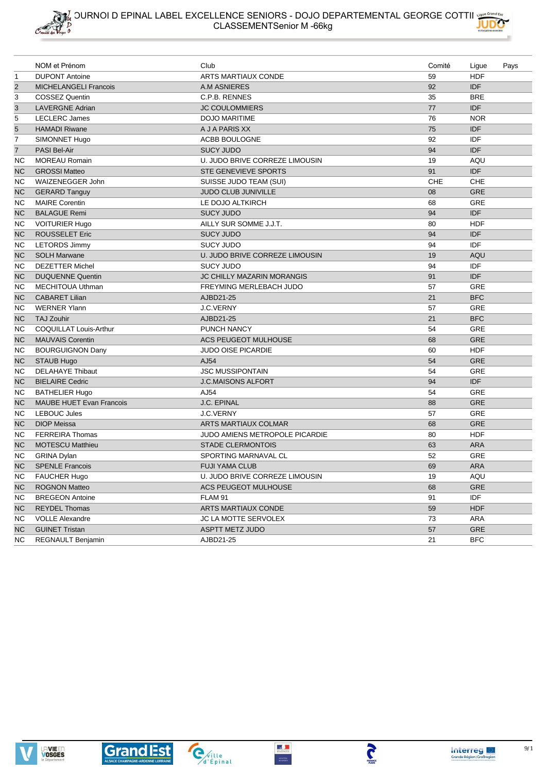

|                | NOM et Prénom                   | Club                                  | Comité     | Ligue      | Pays |
|----------------|---------------------------------|---------------------------------------|------------|------------|------|
| $\mathbf{1}$   | <b>DUPONT Antoine</b>           | <b>ARTS MARTIAUX CONDE</b>            | 59         | <b>HDF</b> |      |
| $\overline{2}$ | <b>MICHELANGELI Francois</b>    | A.M ASNIERES                          | 92         | <b>IDF</b> |      |
| 3              | <b>COSSEZ Quentin</b>           | C.P.B. RENNES                         | 35         | <b>BRE</b> |      |
| 3              | <b>LAVERGNE Adrian</b>          | <b>JC COULOMMIERS</b>                 | 77         | <b>IDF</b> |      |
| 5              | <b>LECLERC James</b>            | <b>DOJO MARITIME</b>                  | 76         | <b>NOR</b> |      |
| 5              | <b>HAMADI Riwane</b>            | A J A PARIS XX                        | 75         | <b>IDF</b> |      |
| 7              | SIMONNET Hugo                   | ACBB BOULOGNE                         | 92         | IDF        |      |
| $\overline{7}$ | PASI Bel-Air                    | <b>SUCY JUDO</b>                      | 94         | <b>IDF</b> |      |
| NC             | <b>MOREAU Romain</b>            | U. JUDO BRIVE CORREZE LIMOUSIN        | 19         | AQU        |      |
| <b>NC</b>      | <b>GROSSI Matteo</b>            | <b>STE GENEVIEVE SPORTS</b>           | 91         | <b>IDF</b> |      |
| NC             | WAIZENEGGER John                | SUISSE JUDO TEAM (SUI)                | <b>CHE</b> | CHE        |      |
| <b>NC</b>      | <b>GERARD Tanguy</b>            | JUDO CLUB JUNIVILLE                   | 08         | <b>GRE</b> |      |
| <b>NC</b>      | <b>MAIRE Corentin</b>           | LE DOJO ALTKIRCH                      | 68         | <b>GRE</b> |      |
| <b>NC</b>      | <b>BALAGUE Remi</b>             | <b>SUCY JUDO</b>                      | 94         | <b>IDF</b> |      |
| NC             | <b>VOITURIER Hugo</b>           | AILLY SUR SOMME J.J.T.                | 80         | <b>HDF</b> |      |
| <b>NC</b>      | <b>ROUSSELET Eric</b>           | <b>SUCY JUDO</b>                      | 94         | <b>IDF</b> |      |
| NC             | <b>LETORDS Jimmy</b>            | <b>SUCY JUDO</b>                      | 94         | IDF        |      |
| <b>NC</b>      | <b>SOLH Marwane</b>             | U. JUDO BRIVE CORREZE LIMOUSIN        | 19         | AQU        |      |
| ΝC             | <b>DEZETTER Michel</b>          | <b>SUCY JUDO</b>                      | 94         | IDF        |      |
| <b>NC</b>      | <b>DUQUENNE Quentin</b>         | <b>JC CHILLY MAZARIN MORANGIS</b>     | 91         | <b>IDF</b> |      |
| NC             | <b>MECHITOUA Uthman</b>         | FREYMING MERLEBACH JUDO               | 57         | <b>GRE</b> |      |
| <b>NC</b>      | <b>CABARET Lilian</b>           | AJBD21-25                             | 21         | <b>BFC</b> |      |
| NC             | <b>WERNER Ylann</b>             | J.C.VERNY                             | 57         | GRE        |      |
| <b>NC</b>      | <b>TAJ Zouhir</b>               | AJBD21-25                             | 21         | <b>BFC</b> |      |
| NC             | COQUILLAT Louis-Arthur          | PUNCH NANCY                           | 54         | <b>GRE</b> |      |
| <b>NC</b>      | <b>MAUVAIS Corentin</b>         | <b>ACS PEUGEOT MULHOUSE</b>           | 68         | <b>GRE</b> |      |
| NC             | <b>BOURGUIGNON Dany</b>         | <b>JUDO OISE PICARDIE</b>             | 60         | <b>HDF</b> |      |
| <b>NC</b>      | <b>STAUB Hugo</b>               | AJ54                                  | 54         | <b>GRE</b> |      |
| NC             | <b>DELAHAYE Thibaut</b>         | <b>JSC MUSSIPONTAIN</b>               | 54         | <b>GRE</b> |      |
| NC.            | <b>BIELAIRE Cedric</b>          | <b>J.C.MAISONS ALFORT</b>             | 94         | <b>IDF</b> |      |
| ΝC             | <b>BATHELIER Hugo</b>           | AJ54                                  | 54         | <b>GRE</b> |      |
| <b>NC</b>      | <b>MAUBE HUET Evan Francois</b> | J.C. EPINAL                           | 88         | <b>GRE</b> |      |
| NC             | <b>LEBOUC Jules</b>             | J.C.VERNY                             | 57         | <b>GRE</b> |      |
| <b>NC</b>      | <b>DIOP Meissa</b>              | ARTS MARTIAUX COLMAR                  | 68         | <b>GRE</b> |      |
| NC             | <b>FERREIRA Thomas</b>          | <b>JUDO AMIENS METROPOLE PICARDIE</b> | 80         | <b>HDF</b> |      |
| <b>NC</b>      | <b>MOTESCU Matthieu</b>         | <b>STADE CLERMONTOIS</b>              | 63         | <b>ARA</b> |      |
| NC             | <b>GRINA Dylan</b>              | SPORTING MARNAVAL CL                  | 52         | GRE        |      |
| <b>NC</b>      | <b>SPENLE Francois</b>          | <b>FUJI YAMA CLUB</b>                 | 69         | <b>ARA</b> |      |
| ΝC             | FAUCHER Hugo                    | U. JUDO BRIVE CORREZE LIMOUSIN        | 19         | AQU        |      |
| NC.            | <b>ROGNON Matteo</b>            | <b>ACS PEUGEOT MULHOUSE</b>           | 68         | GRE        |      |
| NC.            | <b>BREGEON Antoine</b>          | FLAM 91                               | 91         | IDF        |      |
| <b>NC</b>      | <b>REYDEL Thomas</b>            | ARTS MARTIAUX CONDE                   | 59         | <b>HDF</b> |      |
| NС             | <b>VOLLE Alexandre</b>          | JC LA MOTTE SERVOLEX                  | 73         | ARA        |      |
| <b>NC</b>      | <b>GUINET Tristan</b>           | ASPTT METZ JUDO                       | 57         | <b>GRE</b> |      |
| NC.            | REGNAULT Benjamin               | AJBD21-25                             | 21         | <b>BFC</b> |      |





**TANGE**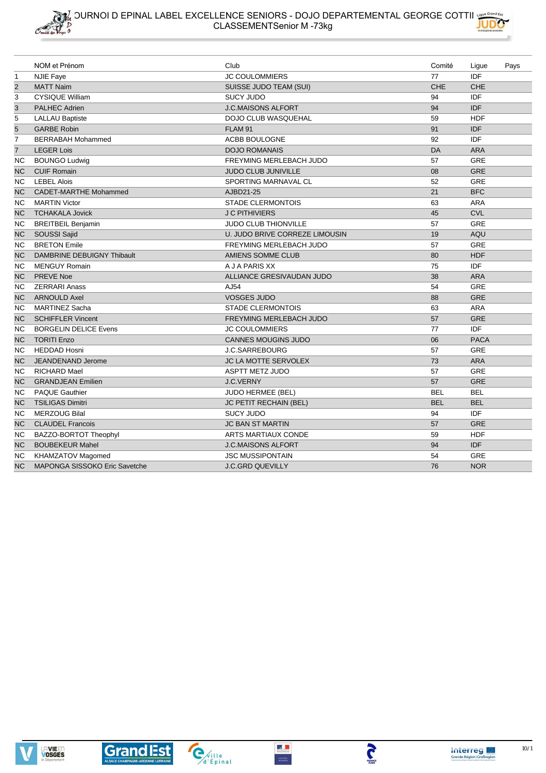









 $\mathbb{Z}$ 



S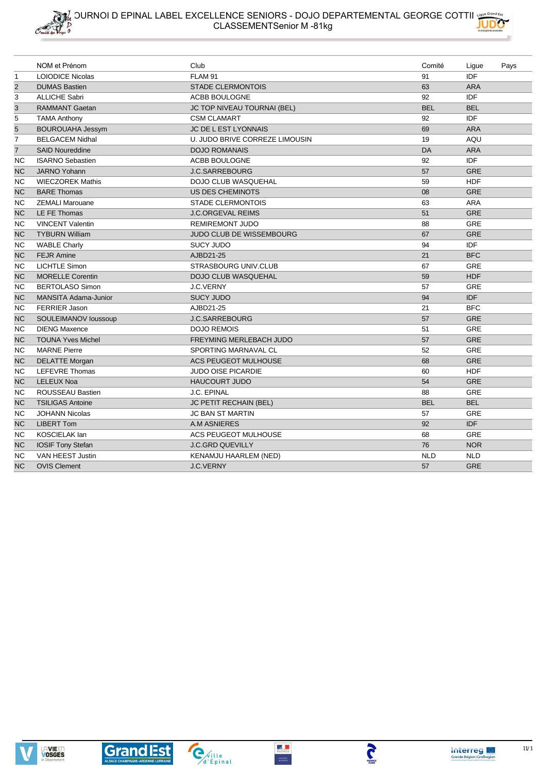

|                | NOM et Prénom               | Club                               | Comité     | Ligue      | Pays |
|----------------|-----------------------------|------------------------------------|------------|------------|------|
| $\mathbf{1}$   | <b>LOIODICE Nicolas</b>     | FLAM 91                            | 91         | IDF        |      |
| $\overline{2}$ | <b>DUMAS Bastien</b>        | <b>STADE CLERMONTOIS</b>           | 63         | <b>ARA</b> |      |
| 3              | <b>ALLICHE Sabri</b>        | ACBB BOULOGNE                      | 92         | <b>IDF</b> |      |
| 3              | <b>RAMMANT Gaetan</b>       | <b>JC TOP NIVEAU TOURNAI (BEL)</b> | <b>BEL</b> | <b>BEL</b> |      |
| 5              | <b>TAMA Anthony</b>         | <b>CSM CLAMART</b>                 | 92         | IDF        |      |
| $\overline{5}$ | <b>BOUROUAHA Jessym</b>     | JC DE L EST LYONNAIS               | 69         | <b>ARA</b> |      |
| $\overline{7}$ | <b>BELGACEM Nidhal</b>      | U. JUDO BRIVE CORREZE LIMOUSIN     | 19         | AQU        |      |
| $\overline{7}$ | <b>SAID Noureddine</b>      | <b>DOJO ROMANAIS</b>               | DA         | <b>ARA</b> |      |
| <b>NC</b>      | <b>ISARNO Sebastien</b>     | ACBB BOULOGNE                      | 92         | IDF        |      |
| <b>NC</b>      | <b>JARNO Yohann</b>         | <b>J.C.SARREBOURG</b>              | 57         | <b>GRE</b> |      |
| NC.            | <b>WIECZOREK Mathis</b>     | DOJO CLUB WASQUEHAL                | 59         | <b>HDF</b> |      |
| <b>NC</b>      | <b>BARE Thomas</b>          | <b>US DES CHEMINOTS</b>            | 08         | <b>GRE</b> |      |
| NC.            | <b>ZEMALI Marouane</b>      | <b>STADE CLERMONTOIS</b>           | 63         | <b>ARA</b> |      |
| <b>NC</b>      | LE FE Thomas                | <b>J.C.ORGEVAL REIMS</b>           | 51         | <b>GRE</b> |      |
| NC.            | <b>VINCENT Valentin</b>     | <b>REMIREMONT JUDO</b>             | 88         | <b>GRE</b> |      |
| <b>NC</b>      | <b>TYBURN William</b>       | JUDO CLUB DE WISSEMBOURG           | 67         | <b>GRE</b> |      |
| NC.            | <b>WABLE Charly</b>         | <b>SUCY JUDO</b>                   | 94         | IDF        |      |
| <b>NC</b>      | <b>FEJR Amine</b>           | AJBD21-25                          | 21         | <b>BFC</b> |      |
| NС             | <b>LICHTLE Simon</b>        | STRASBOURG UNIV.CLUB               | 67         | <b>GRE</b> |      |
| <b>NC</b>      | <b>MORELLE Corentin</b>     | <b>DOJO CLUB WASQUEHAL</b>         | 59         | <b>HDF</b> |      |
| NC.            | <b>BERTOLASO Simon</b>      | J.C.VERNY                          | 57         | <b>GRE</b> |      |
| <b>NC</b>      | <b>MANSITA Adama-Junior</b> | <b>SUCY JUDO</b>                   | 94         | <b>IDF</b> |      |
| NC.            | <b>FERRIER Jason</b>        | AJBD21-25                          | 21         | <b>BFC</b> |      |
| <b>NC</b>      | SOULEIMANOV loussoup        | <b>J.C.SARREBOURG</b>              | 57         | <b>GRE</b> |      |
| <b>NC</b>      | <b>DIENG Maxence</b>        | <b>DOJO REMOIS</b>                 | 51         | <b>GRE</b> |      |
| <b>NC</b>      | <b>TOUNA Yves Michel</b>    | FREYMING MERLEBACH JUDO            | 57         | <b>GRE</b> |      |
| ΝC             | <b>MARNE Pierre</b>         | SPORTING MARNAVAL CL               | 52         | <b>GRE</b> |      |
| <b>NC</b>      | <b>DELATTE Morgan</b>       | <b>ACS PEUGEOT MULHOUSE</b>        | 68         | <b>GRE</b> |      |
| ΝC             | LEFEVRE Thomas              | <b>JUDO OISE PICARDIE</b>          | 60         | <b>HDF</b> |      |
| <b>NC</b>      | <b>LELEUX Noa</b>           | <b>HAUCOURT JUDO</b>               | 54         | <b>GRE</b> |      |
| ΝC             | ROUSSEAU Bastien            | J.C. EPINAL                        | 88         | <b>GRE</b> |      |
| <b>NC</b>      | <b>TSILIGAS Antoine</b>     | JC PETIT RECHAIN (BEL)             | <b>BEL</b> | <b>BEL</b> |      |
| ΝC             | <b>JOHANN Nicolas</b>       | <b>JC BAN ST MARTIN</b>            | 57         | <b>GRE</b> |      |
| <b>NC</b>      | <b>LIBERT Tom</b>           | <b>A.M ASNIERES</b>                | 92         | <b>IDF</b> |      |
| <b>NC</b>      | <b>KOSCIELAK lan</b>        | <b>ACS PEUGEOT MULHOUSE</b>        | 68         | <b>GRE</b> |      |
| <b>NC</b>      | <b>IOSIF Tony Stefan</b>    | <b>J.C.GRD QUEVILLY</b>            | 76         | <b>NOR</b> |      |
| <b>NC</b>      | <b>VAN HEEST Justin</b>     | KENAMJU HAARLEM (NED)              | <b>NLD</b> | <b>NLD</b> |      |
| <b>NC</b>      | <b>OVIS Clement</b>         | <b>J.C.VERNY</b>                   | 57         | <b>GRE</b> |      |







**TANGE** 

 $\begin{array}{c}\n\bullet \\
\bullet \\
\text{wence} \\
\text{msoom}\n\end{array}$ 

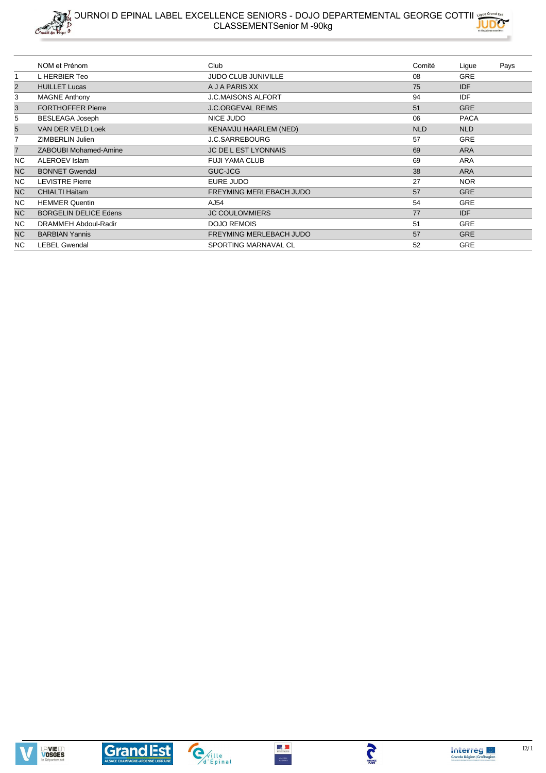



|                | NOM et Prénom                | Club                           | Comité     | Ligue       | Pays |
|----------------|------------------------------|--------------------------------|------------|-------------|------|
| 1              | L HERBIER Teo                | <b>JUDO CLUB JUNIVILLE</b>     | 08         | <b>GRE</b>  |      |
| $\overline{2}$ | <b>HUILLET Lucas</b>         | A J A PARIS XX                 | 75         | IDF         |      |
| 3              | <b>MAGNE Anthony</b>         | <b>J.C.MAISONS ALFORT</b>      | 94         | IDF         |      |
| 3              | <b>FORTHOFFER Pierre</b>     | <b>J.C.ORGEVAL REIMS</b>       | 51         | <b>GRE</b>  |      |
| 5              | <b>BESLEAGA Joseph</b>       | NICE JUDO                      | 06         | <b>PACA</b> |      |
| 5              | VAN DER VELD Loek            | <b>KENAMJU HAARLEM (NED)</b>   | <b>NLD</b> | <b>NLD</b>  |      |
|                | ZIMBERLIN Julien             | <b>J.C.SARREBOURG</b>          | 57         | <b>GRE</b>  |      |
| 7              | ZABOUBI Mohamed-Amine        | <b>JC DE L EST LYONNAIS</b>    | 69         | <b>ARA</b>  |      |
| NC.            | ALEROEV Islam                | <b>FUJI YAMA CLUB</b>          | 69         | ARA         |      |
| <b>NC</b>      | <b>BONNET Gwendal</b>        | GUC-JCG                        | 38         | <b>ARA</b>  |      |
| NC.            | <b>LEVISTRE Pierre</b>       | EURE JUDO                      | 27         | NOR.        |      |
| <b>NC</b>      | <b>CHIALTI Haitam</b>        | <b>FREYMING MERLEBACH JUDO</b> | 57         | <b>GRE</b>  |      |
| NC.            | <b>HEMMER Quentin</b>        | AJ54                           | 54         | <b>GRE</b>  |      |
| NC             | <b>BORGELIN DELICE Edens</b> | <b>JC COULOMMIERS</b>          | 77         | IDF         |      |
| NC.            | DRAMMEH Abdoul-Radir         | <b>DOJO REMOIS</b>             | 51         | <b>GRE</b>  |      |
| NC             | <b>BARBIAN Yannis</b>        | FREYMING MERLEBACH JUDO        | 57         | <b>GRE</b>  |      |
| NC.            | <b>LEBEL Gwendal</b>         | SPORTING MARNAVAL CL           | 52         | <b>GRE</b>  |      |







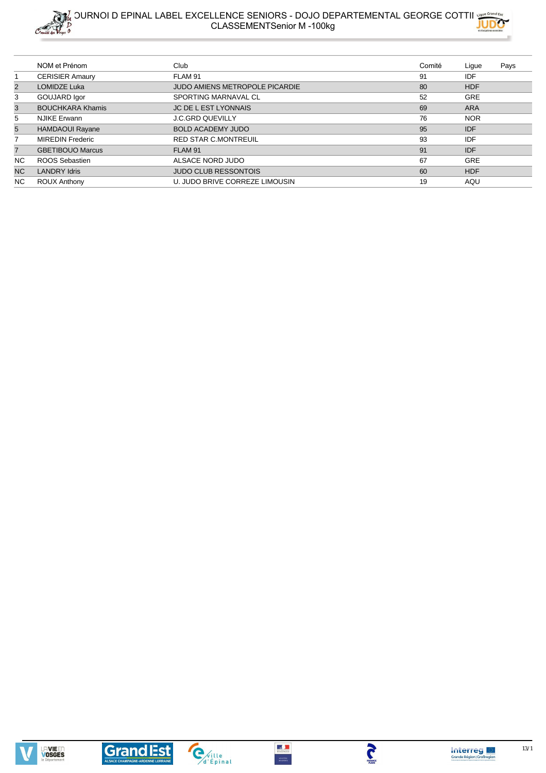



|                | NOM et Prénom           | Club                           | Comité | Lique      | Pays |
|----------------|-------------------------|--------------------------------|--------|------------|------|
|                | <b>CERISIER Amaury</b>  | FLAM 91                        | 91     | IDF        |      |
| 2              | <b>LOMIDZE Luka</b>     | JUDO AMIENS METROPOLE PICARDIE | 80     | <b>HDF</b> |      |
| 3              | GOUJARD Igor            | SPORTING MARNAVAL CL           | 52     | <b>GRE</b> |      |
| 3              | <b>BOUCHKARA Khamis</b> | <b>JC DE L EST LYONNAIS</b>    | 69     | <b>ARA</b> |      |
| 5              | <b>NJIKE Erwann</b>     | <b>J.C.GRD QUEVILLY</b>        | 76     | <b>NOR</b> |      |
| 5              | <b>HAMDAOUI Rayane</b>  | <b>BOLD ACADEMY JUDO</b>       | 95     | <b>IDF</b> |      |
|                | <b>MIREDIN Frederic</b> | <b>RED STAR C.MONTREUIL</b>    | 93     | <b>IDF</b> |      |
| $\overline{7}$ | <b>GBETIBOUO Marcus</b> | FLAM 91                        | 91     | <b>IDF</b> |      |
| NC.            | ROOS Sebastien          | ALSACE NORD JUDO               | 67     | <b>GRE</b> |      |
| <b>NC</b>      | <b>LANDRY Idris</b>     | <b>JUDO CLUB RESSONTOIS</b>    | 60     | <b>HDF</b> |      |
| NC.            | <b>ROUX Anthony</b>     | U. JUDO BRIVE CORREZE LIMOUSIN | 19     | AQU        |      |